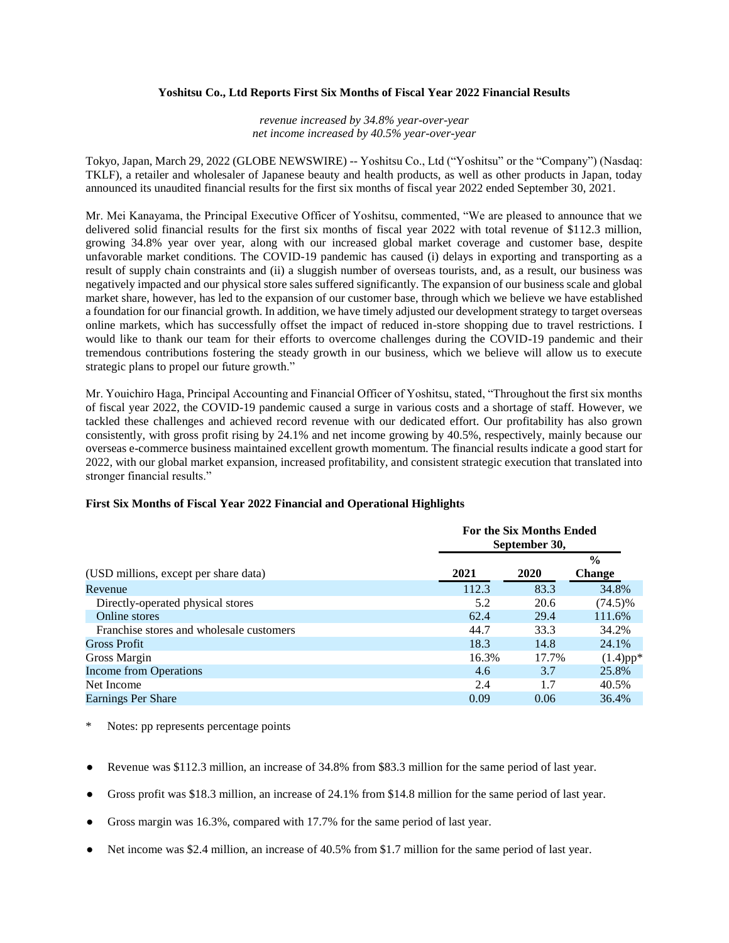# **Yoshitsu Co., Ltd Reports First Six Months of Fiscal Year 2022 Financial Results**

*revenue increased by 34.8% year-over-year net income increased by 40.5% year-over-year*

Tokyo, Japan, March 29, 2022 (GLOBE NEWSWIRE) -- Yoshitsu Co., Ltd ("Yoshitsu" or the "Company") (Nasdaq: TKLF), a retailer and wholesaler of Japanese beauty and health products, as well as other products in Japan, today announced its unaudited financial results for the first six months of fiscal year 2022 ended September 30, 2021.

Mr. Mei Kanayama, the Principal Executive Officer of Yoshitsu, commented, "We are pleased to announce that we delivered solid financial results for the first six months of fiscal year 2022 with total revenue of \$112.3 million, growing 34.8% year over year, along with our increased global market coverage and customer base, despite unfavorable market conditions. The COVID-19 pandemic has caused (i) delays in exporting and transporting as a result of supply chain constraints and (ii) a sluggish number of overseas tourists, and, as a result, our business was negatively impacted and our physical store sales suffered significantly. The expansion of our business scale and global market share, however, has led to the expansion of our customer base, through which we believe we have established a foundation for our financial growth. In addition, we have timely adjusted our development strategy to target overseas online markets, which has successfully offset the impact of reduced in-store shopping due to travel restrictions. I would like to thank our team for their efforts to overcome challenges during the COVID-19 pandemic and their tremendous contributions fostering the steady growth in our business, which we believe will allow us to execute strategic plans to propel our future growth."

Mr. Youichiro Haga, Principal Accounting and Financial Officer of Yoshitsu, stated, "Throughout the first six months of fiscal year 2022, the COVID-19 pandemic caused a surge in various costs and a shortage of staff. However, we tackled these challenges and achieved record revenue with our dedicated effort. Our profitability has also grown consistently, with gross profit rising by 24.1% and net income growing by 40.5%, respectively, mainly because our overseas e-commerce business maintained excellent growth momentum. The financial results indicate a good start for 2022, with our global market expansion, increased profitability, and consistent strategic execution that translated into stronger financial results."

|                                          |       | <b>For the Six Months Ended</b><br>September 30, |                                |  |
|------------------------------------------|-------|--------------------------------------------------|--------------------------------|--|
| (USD millions, except per share data)    | 2021  | 2020                                             | $\frac{0}{0}$<br><b>Change</b> |  |
| Revenue                                  | 112.3 | 83.3                                             | 34.8%                          |  |
| Directly-operated physical stores        | 5.2   | 20.6                                             | $(74.5)\%$                     |  |
| Online stores                            | 62.4  | 29.4                                             | 111.6%                         |  |
| Franchise stores and wholesale customers | 44.7  | 33.3                                             | 34.2%                          |  |
| Gross Profit                             | 18.3  | 14.8                                             | 24.1%                          |  |
| Gross Margin                             | 16.3% | 17.7%                                            | $(1.4)$ pp*                    |  |
| <b>Income from Operations</b>            | 4.6   | 3.7                                              | 25.8%                          |  |
| Net Income                               | 2.4   | 1.7                                              | 40.5%                          |  |
| Earnings Per Share                       | 0.09  | 0.06                                             | 36.4%                          |  |

#### **First Six Months of Fiscal Year 2022 Financial and Operational Highlights**

Notes: pp represents percentage points

- Revenue was \$112.3 million, an increase of 34.8% from \$83.3 million for the same period of last year.
- Gross profit was \$18.3 million, an increase of 24.1% from \$14.8 million for the same period of last year.
- Gross margin was 16.3%, compared with 17.7% for the same period of last year.
- Net income was \$2.4 million, an increase of 40.5% from \$1.7 million for the same period of last year.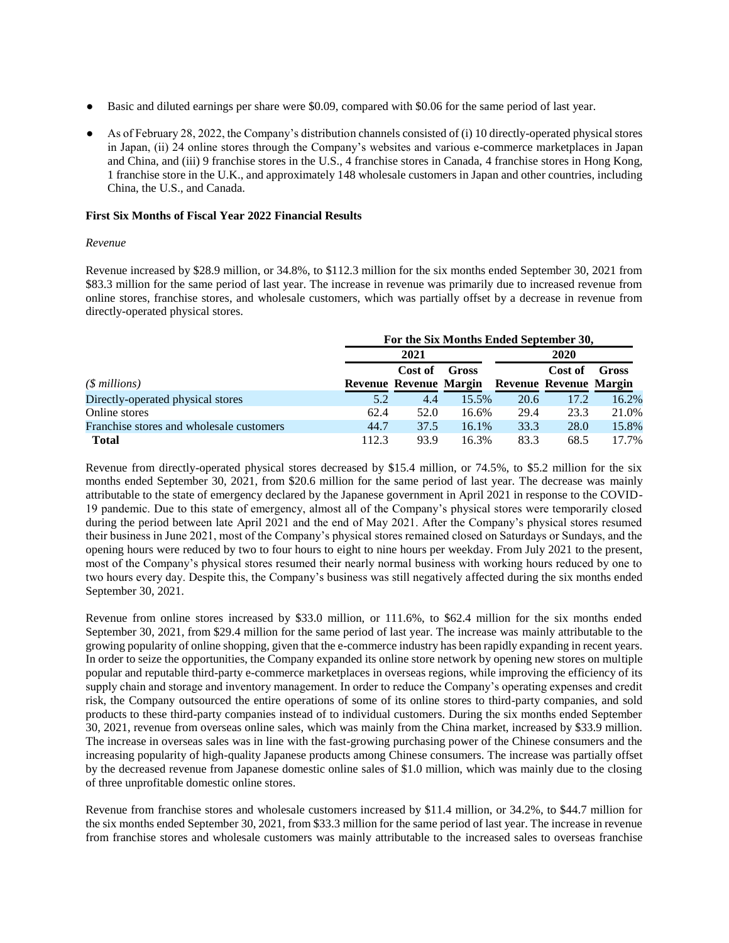- Basic and diluted earnings per share were \$0.09, compared with \$0.06 for the same period of last year.
- As of February 28, 2022, the Company's distribution channels consisted of (i) 10 directly-operated physical stores in Japan, (ii) 24 online stores through the Company's websites and various e-commerce marketplaces in Japan and China, and (iii) 9 franchise stores in the U.S., 4 franchise stores in Canada, 4 franchise stores in Hong Kong, 1 franchise store in the U.K., and approximately 148 wholesale customers in Japan and other countries, including China, the U.S., and Canada.

#### **First Six Months of Fiscal Year 2022 Financial Results**

#### *Revenue*

Revenue increased by \$28.9 million, or 34.8%, to \$112.3 million for the six months ended September 30, 2021 from \$83.3 million for the same period of last year. The increase in revenue was primarily due to increased revenue from online stores, franchise stores, and wholesale customers, which was partially offset by a decrease in revenue from directly-operated physical stores.

|                                          | For the Six Months Ended September 30, |         |                                               |      |         |       |  |
|------------------------------------------|----------------------------------------|---------|-----------------------------------------------|------|---------|-------|--|
|                                          |                                        | 2021    |                                               |      | 2020    |       |  |
|                                          |                                        | Cost of | <b>Gross</b>                                  |      | Cost of | Gross |  |
| $(S$ millions)                           |                                        |         | Revenue Revenue Margin Revenue Revenue Margin |      |         |       |  |
| Directly-operated physical stores        | 5.2                                    | 4.4     | 15.5%                                         | 20.6 | 17.2    | 16.2% |  |
| Online stores                            | 62.4                                   | 52.0    | 16.6%                                         | 29.4 | 23.3    | 21.0% |  |
| Franchise stores and wholesale customers | 44.7                                   | 37.5    | 16.1%                                         | 33.3 | 28.0    | 15.8% |  |
| <b>Total</b>                             | 112.3                                  | 93.9    | 16.3%                                         | 83.3 | 68.5    | 17.7% |  |

Revenue from directly-operated physical stores decreased by \$15.4 million, or 74.5%, to \$5.2 million for the six months ended September 30, 2021, from \$20.6 million for the same period of last year. The decrease was mainly attributable to the state of emergency declared by the Japanese government in April 2021 in response to the COVID-19 pandemic. Due to this state of emergency, almost all of the Company's physical stores were temporarily closed during the period between late April 2021 and the end of May 2021. After the Company's physical stores resumed their business in June 2021, most of the Company's physical stores remained closed on Saturdays or Sundays, and the opening hours were reduced by two to four hours to eight to nine hours per weekday. From July 2021 to the present, most of the Company's physical stores resumed their nearly normal business with working hours reduced by one to two hours every day. Despite this, the Company's business was still negatively affected during the six months ended September 30, 2021.

Revenue from online stores increased by \$33.0 million, or 111.6%, to \$62.4 million for the six months ended September 30, 2021, from \$29.4 million for the same period of last year. The increase was mainly attributable to the growing popularity of online shopping, given that the e-commerce industry has been rapidly expanding in recent years. In order to seize the opportunities, the Company expanded its online store network by opening new stores on multiple popular and reputable third-party e-commerce marketplaces in overseas regions, while improving the efficiency of its supply chain and storage and inventory management. In order to reduce the Company's operating expenses and credit risk, the Company outsourced the entire operations of some of its online stores to third-party companies, and sold products to these third-party companies instead of to individual customers. During the six months ended September 30, 2021, revenue from overseas online sales, which was mainly from the China market, increased by \$33.9 million. The increase in overseas sales was in line with the fast-growing purchasing power of the Chinese consumers and the increasing popularity of high-quality Japanese products among Chinese consumers. The increase was partially offset by the decreased revenue from Japanese domestic online sales of \$1.0 million, which was mainly due to the closing of three unprofitable domestic online stores.

Revenue from franchise stores and wholesale customers increased by \$11.4 million, or 34.2%, to \$44.7 million for the six months ended September 30, 2021, from \$33.3 million for the same period of last year. The increase in revenue from franchise stores and wholesale customers was mainly attributable to the increased sales to overseas franchise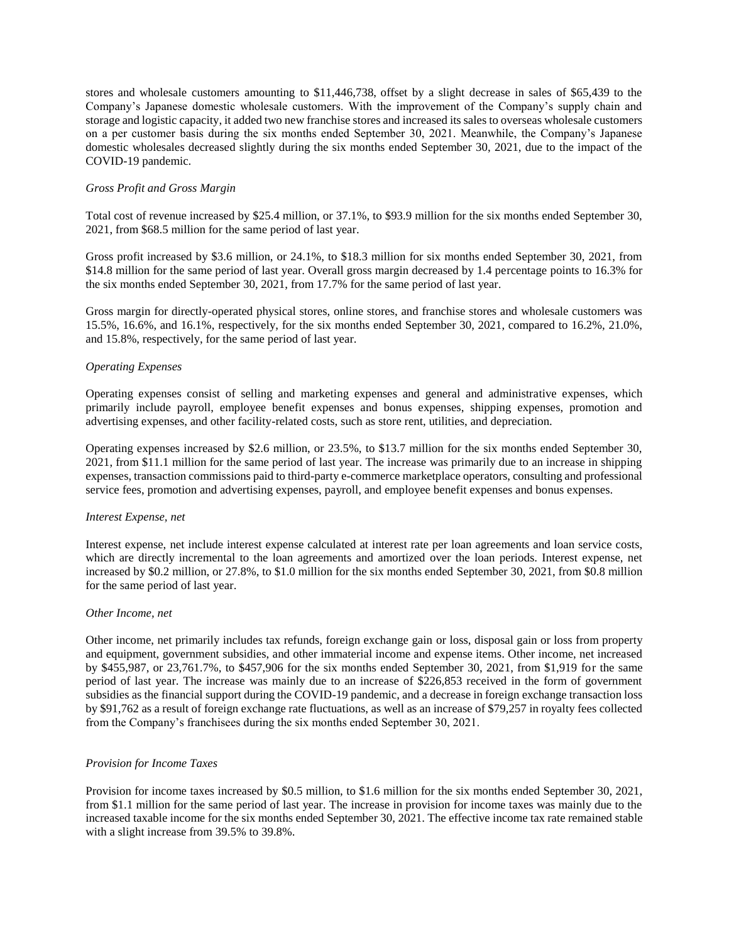stores and wholesale customers amounting to \$11,446,738, offset by a slight decrease in sales of \$65,439 to the Company's Japanese domestic wholesale customers. With the improvement of the Company's supply chain and storage and logistic capacity, it added two new franchise stores and increased its sales to overseas wholesale customers on a per customer basis during the six months ended September 30, 2021. Meanwhile, the Company's Japanese domestic wholesales decreased slightly during the six months ended September 30, 2021, due to the impact of the COVID-19 pandemic.

#### *Gross Profit and Gross Margin*

Total cost of revenue increased by \$25.4 million, or 37.1%, to \$93.9 million for the six months ended September 30, 2021, from \$68.5 million for the same period of last year.

Gross profit increased by \$3.6 million, or 24.1%, to \$18.3 million for six months ended September 30, 2021, from \$14.8 million for the same period of last year. Overall gross margin decreased by 1.4 percentage points to 16.3% for the six months ended September 30, 2021, from 17.7% for the same period of last year.

Gross margin for directly-operated physical stores, online stores, and franchise stores and wholesale customers was 15.5%, 16.6%, and 16.1%, respectively, for the six months ended September 30, 2021, compared to 16.2%, 21.0%, and 15.8%, respectively, for the same period of last year.

#### *Operating Expenses*

Operating expenses consist of selling and marketing expenses and general and administrative expenses, which primarily include payroll, employee benefit expenses and bonus expenses, shipping expenses, promotion and advertising expenses, and other facility-related costs, such as store rent, utilities, and depreciation.

Operating expenses increased by \$2.6 million, or 23.5%, to \$13.7 million for the six months ended September 30, 2021, from \$11.1 million for the same period of last year. The increase was primarily due to an increase in shipping expenses, transaction commissions paid to third-party e-commerce marketplace operators, consulting and professional service fees, promotion and advertising expenses, payroll, and employee benefit expenses and bonus expenses.

#### *Interest Expense, net*

Interest expense, net include interest expense calculated at interest rate per loan agreements and loan service costs, which are directly incremental to the loan agreements and amortized over the loan periods. Interest expense, net increased by \$0.2 million, or 27.8%, to \$1.0 million for the six months ended September 30, 2021, from \$0.8 million for the same period of last year.

#### *Other Income, net*

Other income, net primarily includes tax refunds, foreign exchange gain or loss, disposal gain or loss from property and equipment, government subsidies, and other immaterial income and expense items. Other income, net increased by \$455,987, or 23,761.7%, to \$457,906 for the six months ended September 30, 2021, from \$1,919 for the same period of last year. The increase was mainly due to an increase of \$226,853 received in the form of government subsidies as the financial support during the COVID-19 pandemic, and a decrease in foreign exchange transaction loss by \$91,762 as a result of foreign exchange rate fluctuations, as well as an increase of \$79,257 in royalty fees collected from the Company's franchisees during the six months ended September 30, 2021.

#### *Provision for Income Taxes*

Provision for income taxes increased by \$0.5 million, to \$1.6 million for the six months ended September 30, 2021, from \$1.1 million for the same period of last year. The increase in provision for income taxes was mainly due to the increased taxable income for the six months ended September 30, 2021. The effective income tax rate remained stable with a slight increase from 39.5% to 39.8%.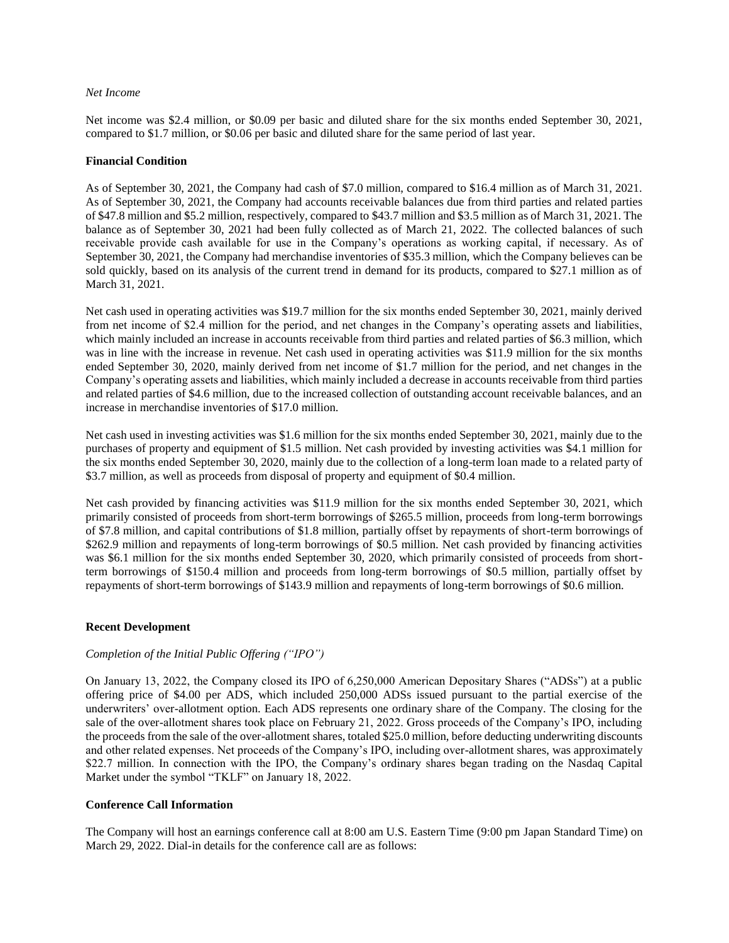#### *Net Income*

Net income was \$2.4 million, or \$0.09 per basic and diluted share for the six months ended September 30, 2021, compared to \$1.7 million, or \$0.06 per basic and diluted share for the same period of last year.

#### **Financial Condition**

As of September 30, 2021, the Company had cash of \$7.0 million, compared to \$16.4 million as of March 31, 2021. As of September 30, 2021, the Company had accounts receivable balances due from third parties and related parties of \$47.8 million and \$5.2 million, respectively, compared to \$43.7 million and \$3.5 million as of March 31, 2021. The balance as of September 30, 2021 had been fully collected as of March 21, 2022. The collected balances of such receivable provide cash available for use in the Company's operations as working capital, if necessary. As of September 30, 2021, the Company had merchandise inventories of \$35.3 million, which the Company believes can be sold quickly, based on its analysis of the current trend in demand for its products, compared to \$27.1 million as of March 31, 2021.

Net cash used in operating activities was \$19.7 million for the six months ended September 30, 2021, mainly derived from net income of \$2.4 million for the period, and net changes in the Company's operating assets and liabilities, which mainly included an increase in accounts receivable from third parties and related parties of \$6.3 million, which was in line with the increase in revenue. Net cash used in operating activities was \$11.9 million for the six months ended September 30, 2020, mainly derived from net income of \$1.7 million for the period, and net changes in the Company's operating assets and liabilities, which mainly included a decrease in accounts receivable from third parties and related parties of \$4.6 million, due to the increased collection of outstanding account receivable balances, and an increase in merchandise inventories of \$17.0 million.

Net cash used in investing activities was \$1.6 million for the six months ended September 30, 2021, mainly due to the purchases of property and equipment of \$1.5 million. Net cash provided by investing activities was \$4.1 million for the six months ended September 30, 2020, mainly due to the collection of a long-term loan made to a related party of \$3.7 million, as well as proceeds from disposal of property and equipment of \$0.4 million.

Net cash provided by financing activities was \$11.9 million for the six months ended September 30, 2021, which primarily consisted of proceeds from short-term borrowings of \$265.5 million, proceeds from long-term borrowings of \$7.8 million, and capital contributions of \$1.8 million, partially offset by repayments of short-term borrowings of \$262.9 million and repayments of long-term borrowings of \$0.5 million. Net cash provided by financing activities was \$6.1 million for the six months ended September 30, 2020, which primarily consisted of proceeds from shortterm borrowings of \$150.4 million and proceeds from long-term borrowings of \$0.5 million, partially offset by repayments of short-term borrowings of \$143.9 million and repayments of long-term borrowings of \$0.6 million.

#### **Recent Development**

#### *Completion of the Initial Public Offering ("IPO")*

On January 13, 2022, the Company closed its IPO of 6,250,000 American Depositary Shares ("ADSs") at a public offering price of \$4.00 per ADS, which included 250,000 ADSs issued pursuant to the partial exercise of the underwriters' over-allotment option. Each ADS represents one ordinary share of the Company. The closing for the sale of the over-allotment shares took place on February 21, 2022. Gross proceeds of the Company's IPO, including the proceeds from the sale of the over-allotment shares, totaled \$25.0 million, before deducting underwriting discounts and other related expenses. Net proceeds of the Company's IPO, including over-allotment shares, was approximately \$22.7 million. In connection with the IPO, the Company's ordinary shares began trading on the Nasdaq Capital Market under the symbol "TKLF" on January 18, 2022.

# **Conference Call Information**

The Company will host an earnings conference call at 8:00 am U.S. Eastern Time (9:00 pm Japan Standard Time) on March 29, 2022. Dial-in details for the conference call are as follows: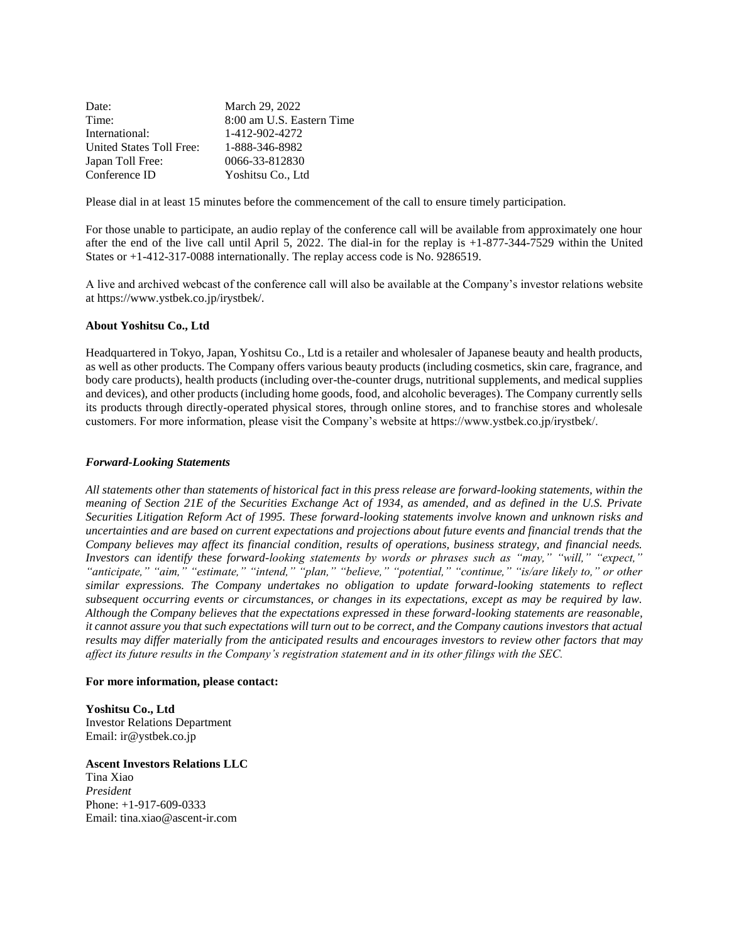| Date:                    | March 29, 2022            |
|--------------------------|---------------------------|
| Time:                    | 8:00 am U.S. Eastern Time |
| International:           | 1-412-902-4272            |
| United States Toll Free: | 1-888-346-8982            |
| Japan Toll Free:         | 0066-33-812830            |
| Conference ID            | Yoshitsu Co., Ltd         |

Please dial in at least 15 minutes before the commencement of the call to ensure timely participation.

For those unable to participate, an audio replay of the conference call will be available from approximately one hour after the end of the live call until April 5, 2022. The dial-in for the replay is  $+1-877-344-7529$  within the United States or +1-412-317-0088 internationally. The replay access code is No. 9286519.

A live and archived webcast of the conference call will also be available at the Company's investor relations website at https://www.ystbek.co.jp/irystbek/.

# **About Yoshitsu Co., Ltd**

Headquartered in Tokyo, Japan, Yoshitsu Co., Ltd is a retailer and wholesaler of Japanese beauty and health products, as well as other products. The Company offers various beauty products (including cosmetics, skin care, fragrance, and body care products), health products (including over-the-counter drugs, nutritional supplements, and medical supplies and devices), and other products (including home goods, food, and alcoholic beverages). The Company currently sells its products through directly-operated physical stores, through online stores, and to franchise stores and wholesale customers. For more information, please visit the Company's website at https://www.ystbek.co.jp/irystbek/.

# *Forward-Looking Statements*

*All statements other than statements of historical fact in this press release are forward-looking statements, within the meaning of Section 21E of the Securities Exchange Act of 1934, as amended, and as defined in the U.S. Private Securities Litigation Reform Act of 1995. These forward-looking statements involve known and unknown risks and uncertainties and are based on current expectations and projections about future events and financial trends that the Company believes may affect its financial condition, results of operations, business strategy, and financial needs. Investors can identify these forward-looking statements by words or phrases such as "may," "will," "expect,"*  "anticipate," "aim," "estimate," "intend," "plan," "believe," "potential," "continue," "is/are likely to," or other *similar expressions. The Company undertakes no obligation to update forward-looking statements to reflect subsequent occurring events or circumstances, or changes in its expectations, except as may be required by law. Although the Company believes that the expectations expressed in these forward-looking statements are reasonable, it cannot assure you that such expectations will turn out to be correct, and the Company cautions investors that actual results may differ materially from the anticipated results and encourages investors to review other factors that may affect its future results in the Company's registration statement and in its other filings with the SEC.*

#### **For more information, please contact:**

**Yoshitsu Co., Ltd**  Investor Relations Department Email: ir@ystbek.co.jp

**Ascent Investors Relations LLC** Tina Xiao *President* Phone: +1-917-609-0333 Email: tina.xiao@ascent-ir.com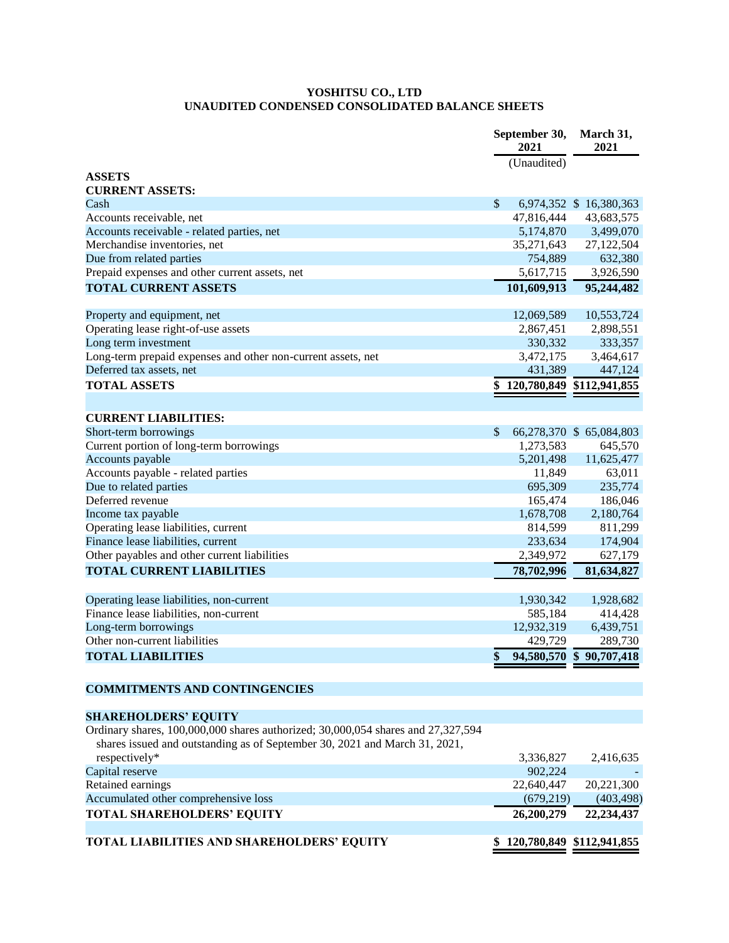# **YOSHITSU CO., LTD UNAUDITED CONDENSED CONSOLIDATED BALANCE SHEETS**

|                                                                                             |               | September 30,<br>2021 | March 31,<br>2021         |
|---------------------------------------------------------------------------------------------|---------------|-----------------------|---------------------------|
|                                                                                             |               | (Unaudited)           |                           |
| <b>ASSETS</b>                                                                               |               |                       |                           |
| <b>CURRENT ASSETS:</b>                                                                      |               |                       |                           |
| Cash                                                                                        | $\mathcal{S}$ |                       | 6,974,352 \$ 16,380,363   |
| Accounts receivable, net                                                                    |               | 47,816,444            | 43,683,575                |
| Accounts receivable - related parties, net                                                  |               | 5,174,870             | 3,499,070                 |
| Merchandise inventories, net                                                                |               | 35,271,643            | 27,122,504                |
| Due from related parties                                                                    |               | 754,889               | 632,380                   |
| Prepaid expenses and other current assets, net                                              |               | 5,617,715             | 3,926,590                 |
| <b>TOTAL CURRENT ASSETS</b>                                                                 |               | 101,609,913           | 95,244,482                |
|                                                                                             |               |                       |                           |
| Property and equipment, net                                                                 |               | 12,069,589            | 10,553,724                |
| Operating lease right-of-use assets                                                         |               | 2,867,451             | 2,898,551                 |
| Long term investment                                                                        |               | 330,332               | 333,357                   |
| Long-term prepaid expenses and other non-current assets, net                                |               | 3,472,175<br>431,389  | 3,464,617                 |
| Deferred tax assets, net                                                                    |               |                       | 447,124                   |
| <b>TOTAL ASSETS</b>                                                                         |               |                       | 120,780,849 \$112,941,855 |
|                                                                                             |               |                       |                           |
| <b>CURRENT LIABILITIES:</b>                                                                 |               |                       |                           |
| Short-term borrowings                                                                       | \$            |                       | 66,278,370 \$ 65,084,803  |
| Current portion of long-term borrowings                                                     |               | 1,273,583             | 645,570                   |
| Accounts payable                                                                            |               | 5,201,498             | 11,625,477                |
| Accounts payable - related parties                                                          |               | 11,849                | 63,011                    |
| Due to related parties                                                                      |               | 695,309               | 235,774                   |
| Deferred revenue                                                                            |               | 165,474               | 186,046                   |
| Income tax payable                                                                          |               | 1,678,708             | 2,180,764                 |
| Operating lease liabilities, current<br>Finance lease liabilities, current                  |               | 814,599<br>233,634    | 811,299                   |
| Other payables and other current liabilities                                                |               | 2,349,972             | 174,904<br>627,179        |
|                                                                                             |               |                       |                           |
| <b>TOTAL CURRENT LIABILITIES</b>                                                            |               | 78,702,996            | 81,634,827                |
| Operating lease liabilities, non-current                                                    |               | 1,930,342             | 1,928,682                 |
| Finance lease liabilities, non-current                                                      |               | 585,184               | 414,428                   |
| Long-term borrowings                                                                        |               | 12,932,319            | 6,439,751                 |
| Other non-current liabilities                                                               |               | 429,729               | 289,730                   |
| <b>TOTAL LIABILITIES</b>                                                                    | \$            |                       | 94,580,570 \$ 90,707,418  |
|                                                                                             |               |                       |                           |
| <b>COMMITMENTS AND CONTINGENCIES</b>                                                        |               |                       |                           |
|                                                                                             |               |                       |                           |
| <b>SHAREHOLDERS' EQUITY</b>                                                                 |               |                       |                           |
| Ordinary shares, 100,000,000 shares authorized; 30,000,054 shares and 27,327,594            |               |                       |                           |
| shares issued and outstanding as of September 30, 2021 and March 31, 2021,<br>respectively* |               | 3,336,827             | 2,416,635                 |
| Capital reserve                                                                             |               | 902,224               |                           |
| Retained earnings                                                                           |               | 22,640,447            | 20,221,300                |
| Accumulated other comprehensive loss                                                        |               | (679, 219)            | (403, 498)                |

| TOTAL SHAREHOLDERS' EQUITY                 |                              | 26,200,279 22,234,437 |
|--------------------------------------------|------------------------------|-----------------------|
|                                            |                              |                       |
| TOTAL LIABILITIES AND SHAREHOLDERS' EQUITY | $$120,780,849$ \$112,941,855 |                       |
|                                            |                              |                       |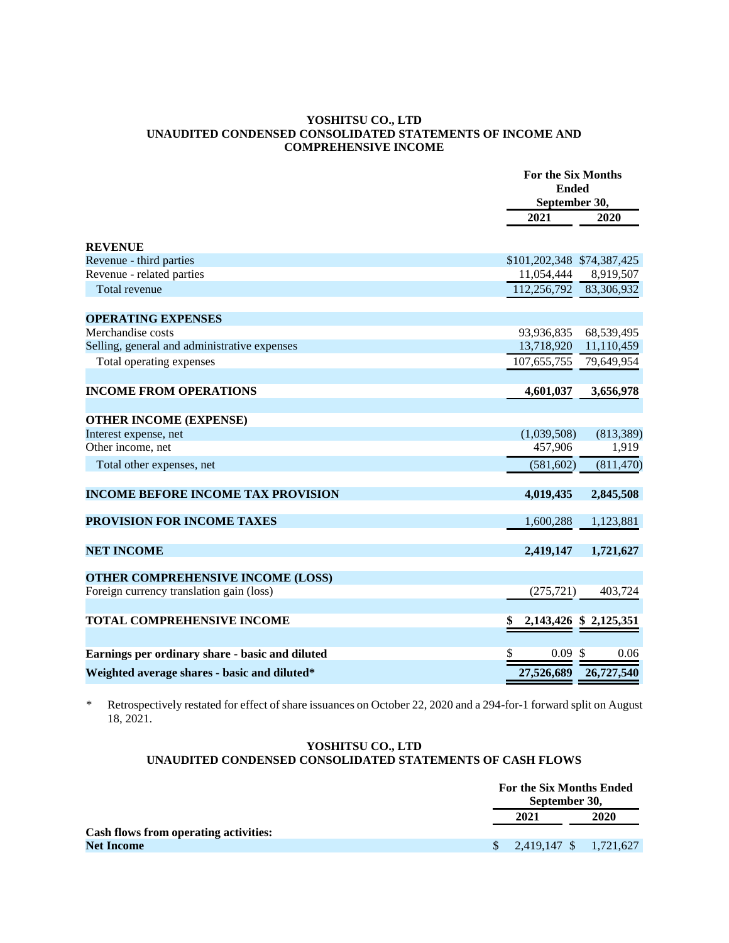# **YOSHITSU CO., LTD UNAUDITED CONDENSED CONSOLIDATED STATEMENTS OF INCOME AND COMPREHENSIVE INCOME**

|                                                 | For the Six Months<br><b>Ended</b> |       |  |  |
|-------------------------------------------------|------------------------------------|-------|--|--|
|                                                 | September 30,                      |       |  |  |
|                                                 | 2020<br>2021                       |       |  |  |
| <b>REVENUE</b>                                  |                                    |       |  |  |
| Revenue - third parties                         | \$101,202,348 \$74,387,425         |       |  |  |
| Revenue - related parties                       | 11,054,444<br>8,919,507            |       |  |  |
| Total revenue                                   | 112,256,792<br>83,306,932          |       |  |  |
| <b>OPERATING EXPENSES</b>                       |                                    |       |  |  |
| Merchandise costs                               | 93,936,835<br>68,539,495           |       |  |  |
| Selling, general and administrative expenses    | 13,718,920<br>11,110,459           |       |  |  |
| Total operating expenses                        | 107,655,755<br>79,649,954          |       |  |  |
| <b>INCOME FROM OPERATIONS</b>                   | 4,601,037<br>3,656,978             |       |  |  |
|                                                 |                                    |       |  |  |
| <b>OTHER INCOME (EXPENSE)</b>                   |                                    |       |  |  |
| Interest expense, net                           | (1,039,508)<br>(813, 389)          |       |  |  |
| Other income, net                               | 457,906                            | 1,919 |  |  |
| Total other expenses, net                       | (811, 470)<br>(581, 602)           |       |  |  |
| <b>INCOME BEFORE INCOME TAX PROVISION</b>       | 4,019,435<br>2,845,508             |       |  |  |
| PROVISION FOR INCOME TAXES                      | 1,600,288<br>1,123,881             |       |  |  |
|                                                 |                                    |       |  |  |
| <b>NET INCOME</b>                               | 2,419,147<br>1,721,627             |       |  |  |
| <b>OTHER COMPREHENSIVE INCOME (LOSS)</b>        |                                    |       |  |  |
| Foreign currency translation gain (loss)        | (275, 721)<br>403,724              |       |  |  |
| <b>TOTAL COMPREHENSIVE INCOME</b>               | 2,143,426 \$ 2,125,351             |       |  |  |
| Earnings per ordinary share - basic and diluted | \$<br>0.09<br>\$                   | 0.06  |  |  |
|                                                 |                                    |       |  |  |
| Weighted average shares - basic and diluted*    | 27,526,689<br>26,727,540           |       |  |  |

\* Retrospectively restated for effect of share issuances on October 22, 2020 and a 294-for-1 forward split on August 18, 2021.

# **YOSHITSU CO., LTD UNAUDITED CONDENSED CONSOLIDATED STATEMENTS OF CASH FLOWS**

|                                              | For the Six Months Ended<br>September 30, |                                           |
|----------------------------------------------|-------------------------------------------|-------------------------------------------|
|                                              | 2021                                      | 2020                                      |
| <b>Cash flows from operating activities:</b> |                                           |                                           |
| <b>Net Income</b>                            |                                           | $\frac{1}{2}$ , 2,419,147 \, \$ 1,721,627 |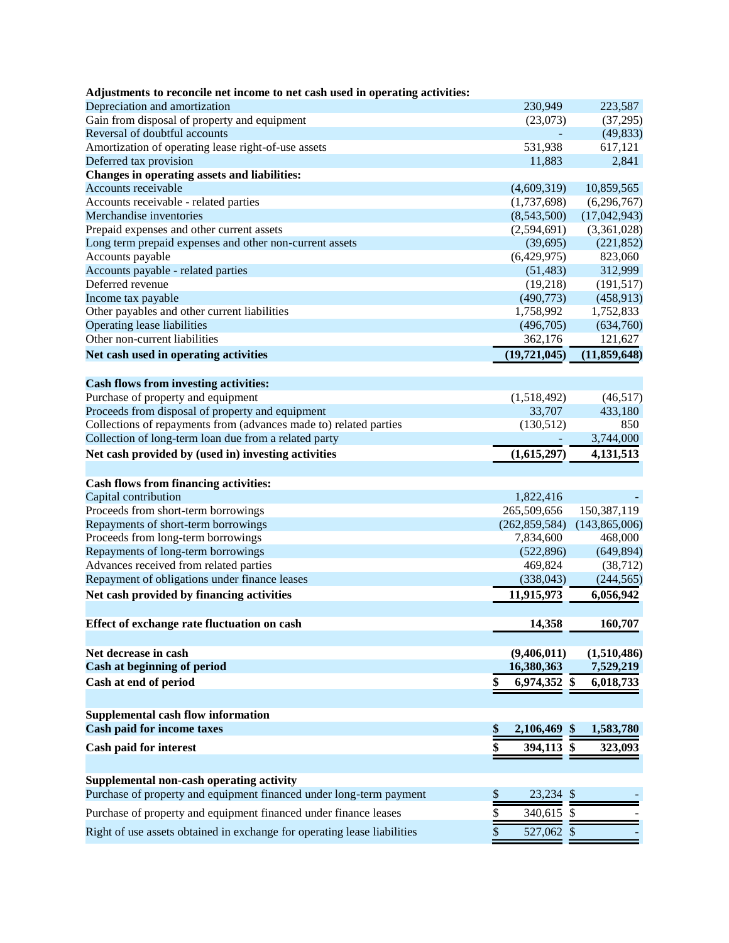| Adjustments to reconcile net income to net cash used in operating activities: |                    |                   |
|-------------------------------------------------------------------------------|--------------------|-------------------|
| Depreciation and amortization                                                 | 230,949            | 223,587           |
| Gain from disposal of property and equipment                                  | (23,073)           | (37,295)          |
| Reversal of doubtful accounts                                                 |                    | (49, 833)         |
| Amortization of operating lease right-of-use assets                           | 531,938            | 617,121           |
| Deferred tax provision                                                        | 11,883             | 2,841             |
| Changes in operating assets and liabilities:                                  |                    |                   |
| Accounts receivable                                                           | (4,609,319)        | 10,859,565        |
| Accounts receivable - related parties                                         | (1,737,698)        | (6,296,767)       |
| Merchandise inventories                                                       | (8,543,500)        | (17,042,943)      |
| Prepaid expenses and other current assets                                     | (2,594,691)        | (3,361,028)       |
| Long term prepaid expenses and other non-current assets                       | (39,695)           | (221, 852)        |
| Accounts payable                                                              | (6,429,975)        | 823,060           |
| Accounts payable - related parties                                            | (51, 483)          | 312,999           |
| Deferred revenue                                                              | (19,218)           | (191, 517)        |
| Income tax payable                                                            | (490,773)          | (458, 913)        |
| Other payables and other current liabilities                                  | 1,758,992          | 1,752,833         |
| Operating lease liabilities                                                   | (496,705)          | (634,760)         |
| Other non-current liabilities                                                 | 362,176            | 121,627           |
| Net cash used in operating activities                                         | (19,721,045)       | (11, 859, 648)    |
|                                                                               |                    |                   |
| <b>Cash flows from investing activities:</b>                                  |                    |                   |
| Purchase of property and equipment                                            | (1,518,492)        | (46,517)          |
| Proceeds from disposal of property and equipment                              | 33,707             | 433,180           |
| Collections of repayments from (advances made to) related parties             | (130,512)          | 850               |
| Collection of long-term loan due from a related party                         |                    | 3,744,000         |
| Net cash provided by (used in) investing activities                           | (1,615,297)        | 4,131,513         |
|                                                                               |                    |                   |
| <b>Cash flows from financing activities:</b>                                  |                    |                   |
| Capital contribution                                                          | 1,822,416          |                   |
| Proceeds from short-term borrowings                                           | 265,509,656        | 150,387,119       |
| Repayments of short-term borrowings                                           | (262, 859, 584)    | (143, 865, 006)   |
| Proceeds from long-term borrowings                                            | 7,834,600          | 468,000           |
| Repayments of long-term borrowings                                            | (522, 896)         | (649, 894)        |
| Advances received from related parties                                        | 469,824            | (38, 712)         |
| Repayment of obligations under finance leases                                 | (338, 043)         | (244, 565)        |
| Net cash provided by financing activities                                     | 11,915,973         | 6,056,942         |
|                                                                               |                    |                   |
| Effect of exchange rate fluctuation on cash                                   | 14,358             | 160,707           |
|                                                                               |                    |                   |
| Net decrease in cash                                                          | (9,406,011)        | (1,510,486)       |
| Cash at beginning of period                                                   | 16,380,363         | 7,529,219         |
| Cash at end of period                                                         | 6,974,352 \$<br>\$ | 6,018,733         |
|                                                                               |                    |                   |
|                                                                               |                    |                   |
| <b>Supplemental cash flow information</b>                                     |                    |                   |
| <b>Cash paid for income taxes</b>                                             | \$<br>2,106,469    | 1,583,780<br>- \$ |
| Cash paid for interest                                                        | 394,113            | 323,093<br>S      |
|                                                                               |                    |                   |
| Supplemental non-cash operating activity                                      |                    |                   |
| Purchase of property and equipment financed under long-term payment           | 23,234 \$<br>\$    |                   |
| Purchase of property and equipment financed under finance leases              | \$<br>340,615      | \$                |
|                                                                               |                    |                   |
| Right of use assets obtained in exchange for operating lease liabilities      | \$<br>527,062 \$   |                   |